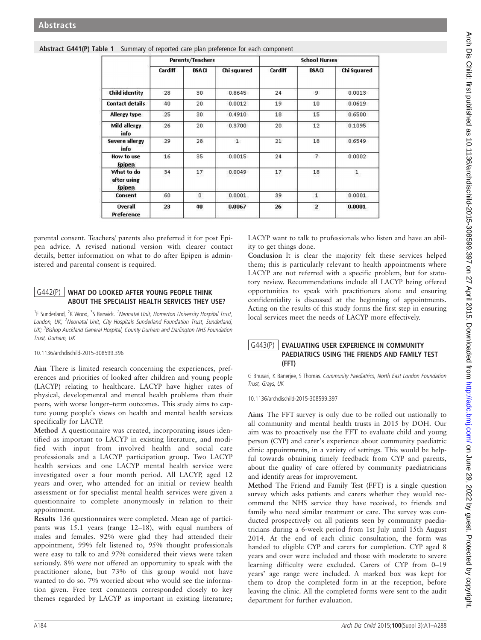|                                            | Parents/Teachers |                 |             | <b>School Nurses</b> |                         |              |
|--------------------------------------------|------------------|-----------------|-------------|----------------------|-------------------------|--------------|
|                                            | Cardiff          | <b>BSACI</b>    | Chi squared | Cardiff              | <b>BSACI</b>            | Chi Squared  |
| <b>Child identity</b>                      | 28               | 30              | 0.8645      | 24                   | 9                       | 0.0013       |
| <b>Contact details</b>                     | 40               | 20              | 0.0012      | 19                   | 10                      | 0.0619       |
| Allergy type                               | 25               | 30              | 0.4910      | 18                   | 15                      | 0.6500       |
| Mild allergy<br>info                       | 26               | 20 <sup>°</sup> | 0.3700      | 20                   | 12                      | 0.1095       |
| <b>Severe allergy</b><br>info              | 29               | 28              | 1           | 21                   | 18                      | 0.6549       |
| How to use<br><b>Epipen</b>                | 16               | 35              | 0.0015      | 24                   | $\overline{7}$          | 0.0002       |
| What to do<br>after using<br><b>Epipen</b> | 34               | 17              | 0.0049      | $^{\rm 17}$          | 18                      | $\mathbf{1}$ |
| Consent                                    | 60               | 0               | 0.0001      | 39                   | $\mathbf{1}$            | 0.0001       |
| <b>Overall</b><br>Preference               | 23               | 40              | 0.0067      | 26                   | $\overline{\mathbf{c}}$ | 0.0001       |

## Abstract G441(P) Table 1 Summary of reported care plan preference for each component

parental consent. Teachers/ parents also preferred it for post Epipen advice. A revised national version with clearer contact details, better information on what to do after Epipen is administered and parental consent is required.

## G442(P) WHAT DO LOOKED AFTER YOUNG PEOPLE THINK ABOUT THE SPECIALIST HEALTH SERVICES THEY USE?

<sup>1</sup>E Sunderland, <sup>2</sup>K Wood, <sup>3</sup>S Barwick. <sup>1</sup>Neonatal Unit, Homerton University Hospital Trust, London, UK; <sup>2</sup>Neonatal Unit, City Hospitals Sunderland Foundation Trust, Sunderland, UK; <sup>3</sup>Bishop Auckland General Hospital, County Durham and Darlington NHS Foundation Trust, Durham, UK

10.1136/archdischild-2015-308599.396

Aim There is limited research concerning the experiences, preferences and priorities of looked after children and young people (LACYP) relating to healthcare. LACYP have higher rates of physical, developmental and mental health problems than their peers, with worse longer–term outcomes. This study aims to capture young people's views on health and mental health services specifically for LACYP.

Method A questionnaire was created, incorporating issues identified as important to LACYP in existing literature, and modified with input from involved health and social care professionals and a LACYP participation group. Two LACYP health services and one LACYP mental health service were investigated over a four month period. All LACYP, aged 12 years and over, who attended for an initial or review health assessment or for specialist mental health services were given a questionnaire to complete anonymously in relation to their appointment.

Results 136 questionnaires were completed. Mean age of participants was 15.1 years (range 12–18), with equal numbers of males and females. 92% were glad they had attended their appointment, 99% felt listened to, 95% thought professionals were easy to talk to and 97% considered their views were taken seriously. 8% were not offered an opportunity to speak with the practitioner alone, but 73% of this group would not have wanted to do so. 7% worried about who would see the information given. Free text comments corresponded closely to key themes regarded by LACYP as important in existing literature;

LACYP want to talk to professionals who listen and have an ability to get things done.

Conclusion It is clear the majority felt these services helped them; this is particularly relevant to health appointments where LACYP are not referred with a specific problem, but for statutory review. Recommendations include all LACYP being offered opportunities to speak with practitioners alone and ensuring confidentiality is discussed at the beginning of appointments. Acting on the results of this study forms the first step in ensuring local services meet the needs of LACYP more effectively.

## G443(P) EVALUATING USER EXPERIENCE IN COMMUNITY PAEDIATRICS USING THE FRIENDS AND FAMILY TEST (FFT)

G Bhusari, K Banerjee, S Thomas. Community Paediatrics, North East London Foundation Trust, Grays, UK

10.1136/archdischild-2015-308599.397

Aims The FFT survey is only due to be rolled out nationally to all community and mental health trusts in 2015 by DOH. Our aim was to proactively use the FFT to evaluate child and young person (CYP) and carer's experience about community paediatric clinic appointments, in a variety of settings. This would be helpful towards obtaining timely feedback from CYP and parents, about the quality of care offered by community paediatricians and identify areas for improvement.

Method The Friend and Family Test (FFT) is a single question survey which asks patients and carers whether they would recommend the NHS service they have received, to friends and family who need similar treatment or care. The survey was conducted prospectively on all patients seen by community paediatricians during a 6-week period from 1st July until 15th August 2014. At the end of each clinic consultation, the form was handed to eligible CYP and carers for completion. CYP aged 8 years and over were included and those with moderate to severe learning difficulty were excluded. Carers of CYP from 0–19 years' age range were included. A marked box was kept for them to drop the completed form in at the reception, before leaving the clinic. All the completed forms were sent to the audit department for further evaluation.